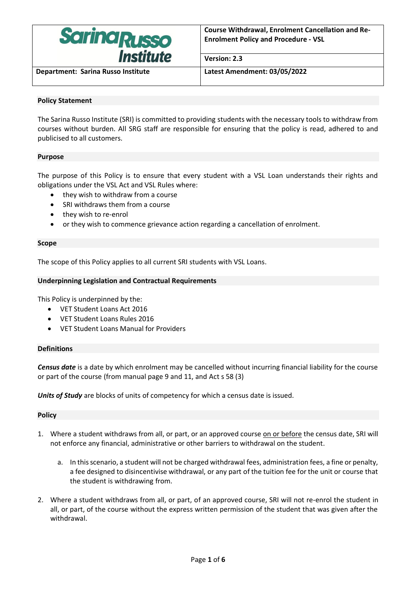

**Version: 2.3**

**Department: Sarina Russo Institute Latest Amendment: 03/05/2022**

# **Policy Statement**

The Sarina Russo Institute (SRI) is committed to providing students with the necessary tools to withdraw from courses without burden. All SRG staff are responsible for ensuring that the policy is read, adhered to and publicised to all customers.

## **Purpose**

The purpose of this Policy is to ensure that every student with a VSL Loan understands their rights and obligations under the VSL Act and VSL Rules where:

- they wish to withdraw from a course
- SRI withdraws them from a course
- they wish to re-enrol
- or they wish to commence grievance action regarding a cancellation of enrolment.

### **Scope**

The scope of this Policy applies to all current SRI students with VSL Loans.

## **Underpinning Legislation and Contractual Requirements**

This Policy is underpinned by the:

- VET Student Loans Act 2016
- VET Student Loans Rules 2016
- VET Student Loans Manual for Providers

## **Definitions**

*Census date* is a date by which enrolment may be cancelled without incurring financial liability for the course or part of the course (from manual page 9 and 11, and Act s 58 (3)

*Units of Study* are blocks of units of competency for which a census date is issued.

#### **Policy**

- 1. Where a student withdraws from all, or part, or an approved course on or before the census date, SRI will not enforce any financial, administrative or other barriers to withdrawal on the student.
	- a. In this scenario, a student will not be charged withdrawal fees, administration fees, a fine or penalty, a fee designed to disincentivise withdrawal, or any part of the tuition fee for the unit or course that the student is withdrawing from.
- 2. Where a student withdraws from all, or part, of an approved course, SRI will not re-enrol the student in all, or part, of the course without the express written permission of the student that was given after the withdrawal.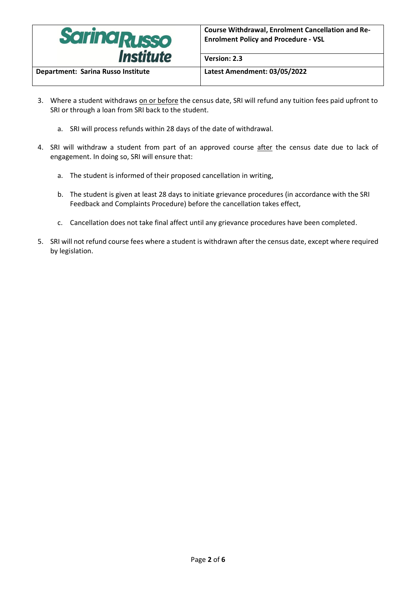

**Department: Sarina Russo Institute Latest Amendment: 03/05/2022**

3. Where a student withdraws on or before the census date, SRI will refund any tuition fees paid upfront to SRI or through a loan from SRI back to the student.

**Version: 2.3**

- a. SRI will process refunds within 28 days of the date of withdrawal.
- 4. SRI will withdraw a student from part of an approved course after the census date due to lack of engagement. In doing so, SRI will ensure that:
	- a. The student is informed of their proposed cancellation in writing,
	- b. The student is given at least 28 days to initiate grievance procedures (in accordance with the SRI Feedback and Complaints Procedure) before the cancellation takes effect,
	- c. Cancellation does not take final affect until any grievance procedures have been completed.
- 5. SRI will not refund course fees where a student is withdrawn after the census date, except where required by legislation.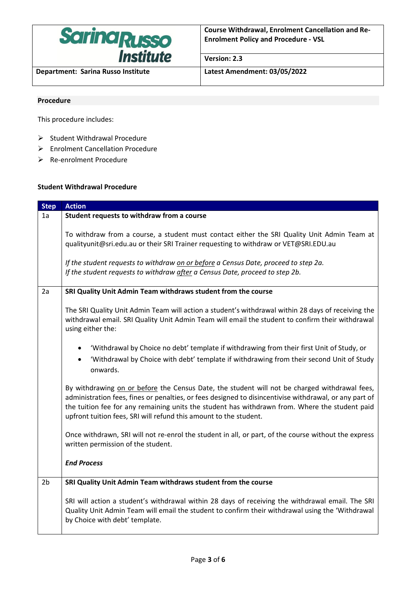

**Department: Sarina Russo Institute Latest Amendment: 03/05/2022**

**Version: 2.3**

### **Procedure**

This procedure includes:

- ➢ Student Withdrawal Procedure
- ➢ Enrolment Cancellation Procedure
- ➢ Re-enrolment Procedure

### **Student Withdrawal Procedure**

| <b>Step</b>    | <b>Action</b>                                                                                                                                                                                                                                                                                                                                                                  |
|----------------|--------------------------------------------------------------------------------------------------------------------------------------------------------------------------------------------------------------------------------------------------------------------------------------------------------------------------------------------------------------------------------|
| 1a             | Student requests to withdraw from a course                                                                                                                                                                                                                                                                                                                                     |
|                | To withdraw from a course, a student must contact either the SRI Quality Unit Admin Team at<br>qualityunit@sri.edu.au or their SRI Trainer requesting to withdraw or VET@SRI.EDU.au<br>If the student requests to withdraw on or before a Census Date, proceed to step 2a.<br>If the student requests to withdraw after a Census Date, proceed to step 2b.                     |
| 2a             | SRI Quality Unit Admin Team withdraws student from the course                                                                                                                                                                                                                                                                                                                  |
|                | The SRI Quality Unit Admin Team will action a student's withdrawal within 28 days of receiving the<br>withdrawal email. SRI Quality Unit Admin Team will email the student to confirm their withdrawal<br>using either the:                                                                                                                                                    |
|                | 'Withdrawal by Choice no debt' template if withdrawing from their first Unit of Study, or<br>'Withdrawal by Choice with debt' template if withdrawing from their second Unit of Study<br>$\bullet$<br>onwards.                                                                                                                                                                 |
|                | By withdrawing on or before the Census Date, the student will not be charged withdrawal fees,<br>administration fees, fines or penalties, or fees designed to disincentivise withdrawal, or any part of<br>the tuition fee for any remaining units the student has withdrawn from. Where the student paid<br>upfront tuition fees, SRI will refund this amount to the student. |
|                | Once withdrawn, SRI will not re-enrol the student in all, or part, of the course without the express<br>written permission of the student.                                                                                                                                                                                                                                     |
|                | <b>End Process</b>                                                                                                                                                                                                                                                                                                                                                             |
| 2 <sub>b</sub> | SRI Quality Unit Admin Team withdraws student from the course                                                                                                                                                                                                                                                                                                                  |
|                | SRI will action a student's withdrawal within 28 days of receiving the withdrawal email. The SRI<br>Quality Unit Admin Team will email the student to confirm their withdrawal using the 'Withdrawal<br>by Choice with debt' template.                                                                                                                                         |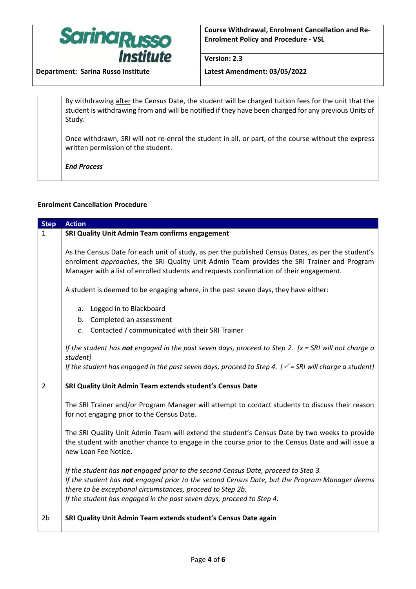

**Version: 2.3**

**Department: Sarina Russo Institute Latest Amendment: 03/05/2022**

By withdrawing after the Census Date, the student will be charged tuition fees for the unit that the student is withdrawing from and will be notified if they have been charged for any previous Units of Study.

Once withdrawn, SRI will not re-enrol the student in all, or part, of the course without the express written permission of the student.

*End Process*

## **Enrolment Cancellation Procedure**

| <b>Step</b>    | <b>Action</b>                                                                                                                                                                                                                                                                                                              |
|----------------|----------------------------------------------------------------------------------------------------------------------------------------------------------------------------------------------------------------------------------------------------------------------------------------------------------------------------|
| $\mathbf{1}$   | SRI Quality Unit Admin Team confirms engagement                                                                                                                                                                                                                                                                            |
|                | As the Census Date for each unit of study, as per the published Census Dates, as per the student's<br>enrolment approaches, the SRI Quality Unit Admin Team provides the SRI Trainer and Program<br>Manager with a list of enrolled students and requests confirmation of their engagement.                                |
|                | A student is deemed to be engaging where, in the past seven days, they have either:                                                                                                                                                                                                                                        |
|                | a. Logged in to Blackboard                                                                                                                                                                                                                                                                                                 |
|                | b. Completed an assessment                                                                                                                                                                                                                                                                                                 |
|                | c. Contacted / communicated with their SRI Trainer                                                                                                                                                                                                                                                                         |
|                | If the student has not engaged in the past seven days, proceed to Step 2. $[x = SRI$ will not charge a<br>student]                                                                                                                                                                                                         |
|                | If the student has engaged in the past seven days, proceed to Step 4. $\sqrt{ }$ = SRI will charge a student]                                                                                                                                                                                                              |
| $\overline{2}$ | SRI Quality Unit Admin Team extends student's Census Date                                                                                                                                                                                                                                                                  |
|                | The SRI Trainer and/or Program Manager will attempt to contact students to discuss their reason<br>for not engaging prior to the Census Date.                                                                                                                                                                              |
|                | The SRI Quality Unit Admin Team will extend the student's Census Date by two weeks to provide<br>the student with another chance to engage in the course prior to the Census Date and will issue a<br>new Loan Fee Notice.                                                                                                 |
|                | If the student has not engaged prior to the second Census Date, proceed to Step 3.<br>If the student has not engaged prior to the second Census Date, but the Program Manager deems<br>there to be exceptional circumstances, proceed to Step 2b.<br>If the student has engaged in the past seven days, proceed to Step 4. |
| 2 <sub>b</sub> | SRI Quality Unit Admin Team extends student's Census Date again                                                                                                                                                                                                                                                            |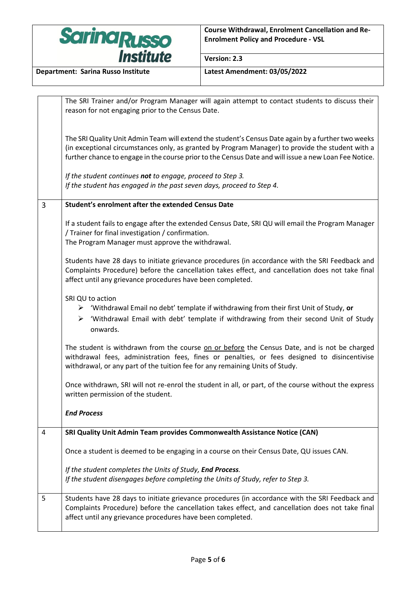

**Version: 2.3**

|   | The SRI Trainer and/or Program Manager will again attempt to contact students to discuss their<br>reason for not engaging prior to the Census Date.                                                                                                                                                             |
|---|-----------------------------------------------------------------------------------------------------------------------------------------------------------------------------------------------------------------------------------------------------------------------------------------------------------------|
|   | The SRI Quality Unit Admin Team will extend the student's Census Date again by a further two weeks<br>(in exceptional circumstances only, as granted by Program Manager) to provide the student with a<br>further chance to engage in the course prior to the Census Date and will issue a new Loan Fee Notice. |
|   | If the student continues not to engage, proceed to Step 3.<br>If the student has engaged in the past seven days, proceed to Step 4.                                                                                                                                                                             |
| 3 | Student's enrolment after the extended Census Date                                                                                                                                                                                                                                                              |
|   | If a student fails to engage after the extended Census Date, SRI QU will email the Program Manager<br>/ Trainer for final investigation / confirmation.<br>The Program Manager must approve the withdrawal.                                                                                                     |
|   | Students have 28 days to initiate grievance procedures (in accordance with the SRI Feedback and<br>Complaints Procedure) before the cancellation takes effect, and cancellation does not take final<br>affect until any grievance procedures have been completed.                                               |
|   | SRI QU to action<br>$\triangleright$ 'Withdrawal Email no debt' template if withdrawing from their first Unit of Study, or<br>$\triangleright$ 'Withdrawal Email with debt' template if withdrawing from their second Unit of Study<br>onwards.                                                                 |
|   | The student is withdrawn from the course on or before the Census Date, and is not be charged<br>withdrawal fees, administration fees, fines or penalties, or fees designed to disincentivise<br>withdrawal, or any part of the tuition fee for any remaining Units of Study.                                    |
|   | Once withdrawn, SRI will not re-enrol the student in all, or part, of the course without the express<br>written permission of the student.                                                                                                                                                                      |
|   | <b>End Process</b>                                                                                                                                                                                                                                                                                              |
| 4 | SRI Quality Unit Admin Team provides Commonwealth Assistance Notice (CAN)                                                                                                                                                                                                                                       |
|   | Once a student is deemed to be engaging in a course on their Census Date, QU issues CAN.                                                                                                                                                                                                                        |
|   | If the student completes the Units of Study, End Process.<br>If the student disengages before completing the Units of Study, refer to Step 3.                                                                                                                                                                   |
| 5 | Students have 28 days to initiate grievance procedures (in accordance with the SRI Feedback and<br>Complaints Procedure) before the cancellation takes effect, and cancellation does not take final<br>affect until any grievance procedures have been completed.                                               |